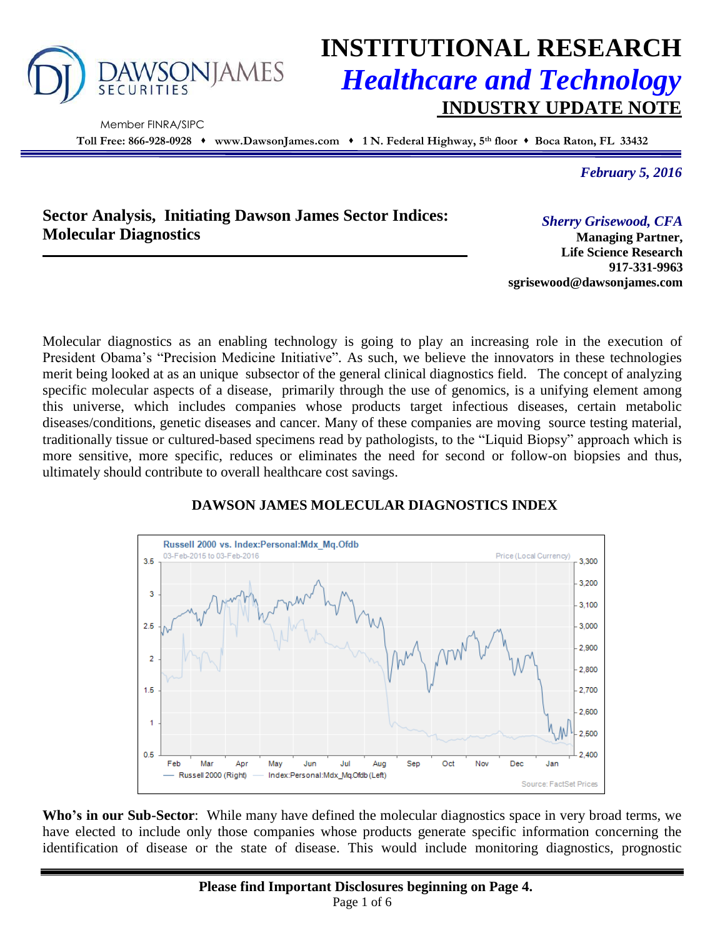

Member FINRA/SIPC

# **INSTITUTIONAL RESEARCH** *Healthcare and Technology* **INDUSTRY UPDATE NOTE**

**Toll Free: 866-928-0928 www.DawsonJames.com 1 N. Federal Highway, 5th floor Boca Raton, FL 33432**

*February 5, 2016*

## **Sector Analysis, Initiating Dawson James Sector Indices: Molecular Diagnostics**

*Sherry Grisewood, CFA*

**Managing Partner, Life Science Research 917-331-9963 sgrisewood@dawsonjames.com**

Molecular diagnostics as an enabling technology is going to play an increasing role in the execution of President Obama's "Precision Medicine Initiative". As such, we believe the innovators in these technologies merit being looked at as an unique subsector of the general clinical diagnostics field. The concept of analyzing specific molecular aspects of a disease, primarily through the use of genomics, is a unifying element among this universe, which includes companies whose products target infectious diseases, certain metabolic diseases/conditions, genetic diseases and cancer. Many of these companies are moving source testing material, traditionally tissue or cultured-based specimens read by pathologists, to the "Liquid Biopsy" approach which is more sensitive, more specific, reduces or eliminates the need for second or follow-on biopsies and thus, ultimately should contribute to overall healthcare cost savings.



## **DAWSON JAMES MOLECULAR DIAGNOSTICS INDEX**

**Who's in our Sub-Sector**: While many have defined the molecular diagnostics space in very broad terms, we have elected to include only those companies whose products generate specific information concerning the identification of disease or the state of disease. This would include monitoring diagnostics, prognostic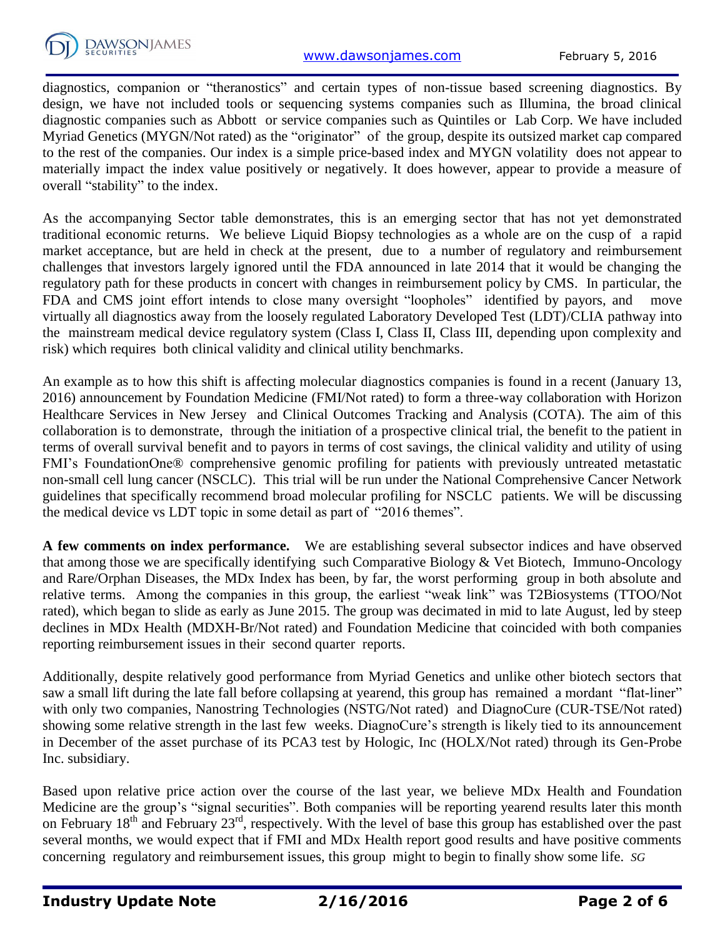

diagnostics, companion or "theranostics" and certain types of non-tissue based screening diagnostics. By design, we have not included tools or sequencing systems companies such as Illumina, the broad clinical diagnostic companies such as Abbott or service companies such as Quintiles or Lab Corp. We have included Myriad Genetics (MYGN/Not rated) as the "originator" of the group, despite its outsized market cap compared to the rest of the companies. Our index is a simple price-based index and MYGN volatility does not appear to materially impact the index value positively or negatively. It does however, appear to provide a measure of overall "stability" to the index.

As the accompanying Sector table demonstrates, this is an emerging sector that has not yet demonstrated traditional economic returns. We believe Liquid Biopsy technologies as a whole are on the cusp of a rapid market acceptance, but are held in check at the present, due to a number of regulatory and reimbursement challenges that investors largely ignored until the FDA announced in late 2014 that it would be changing the regulatory path for these products in concert with changes in reimbursement policy by CMS. In particular, the FDA and CMS joint effort intends to close many oversight "loopholes" identified by payors, and move virtually all diagnostics away from the loosely regulated Laboratory Developed Test (LDT)/CLIA pathway into the mainstream medical device regulatory system (Class I, Class II, Class III, depending upon complexity and risk) which requires both clinical validity and clinical utility benchmarks.

An example as to how this shift is affecting molecular diagnostics companies is found in a recent (January 13, 2016) announcement by Foundation Medicine (FMI/Not rated) to form a three-way collaboration with Horizon Healthcare Services in New Jersey and Clinical Outcomes Tracking and Analysis (COTA). The aim of this collaboration is to demonstrate, through the initiation of a prospective clinical trial, the benefit to the patient in terms of overall survival benefit and to payors in terms of cost savings, the clinical validity and utility of using FMI's FoundationOne® comprehensive genomic profiling for patients with previously untreated metastatic non-small cell lung cancer (NSCLC). This trial will be run under the National Comprehensive Cancer Network guidelines that specifically recommend broad molecular profiling for NSCLC patients. We will be discussing the medical device vs LDT topic in some detail as part of "2016 themes".

**A few comments on index performance.** We are establishing several subsector indices and have observed that among those we are specifically identifying such Comparative Biology & Vet Biotech, Immuno-Oncology and Rare/Orphan Diseases, the MDx Index has been, by far, the worst performing group in both absolute and relative terms. Among the companies in this group, the earliest "weak link" was T2Biosystems (TTOO/Not rated), which began to slide as early as June 2015. The group was decimated in mid to late August, led by steep declines in MDx Health (MDXH-Br/Not rated) and Foundation Medicine that coincided with both companies reporting reimbursement issues in their second quarter reports.

Additionally, despite relatively good performance from Myriad Genetics and unlike other biotech sectors that saw a small lift during the late fall before collapsing at yearend, this group has remained a mordant "flat-liner" with only two companies, Nanostring Technologies (NSTG/Not rated) and DiagnoCure (CUR-TSE/Not rated) showing some relative strength in the last few weeks. DiagnoCure's strength is likely tied to its announcement in December of the asset purchase of its PCA3 test by Hologic, Inc (HOLX/Not rated) through its Gen-Probe Inc. subsidiary.

Based upon relative price action over the course of the last year, we believe MDx Health and Foundation Medicine are the group's "signal securities". Both companies will be reporting yearend results later this month on February  $18<sup>th</sup>$  and February  $23<sup>rd</sup>$ , respectively. With the level of base this group has established over the past several months, we would expect that if FMI and MDx Health report good results and have positive comments concerning regulatory and reimbursement issues, this group might to begin to finally show some life. *SG*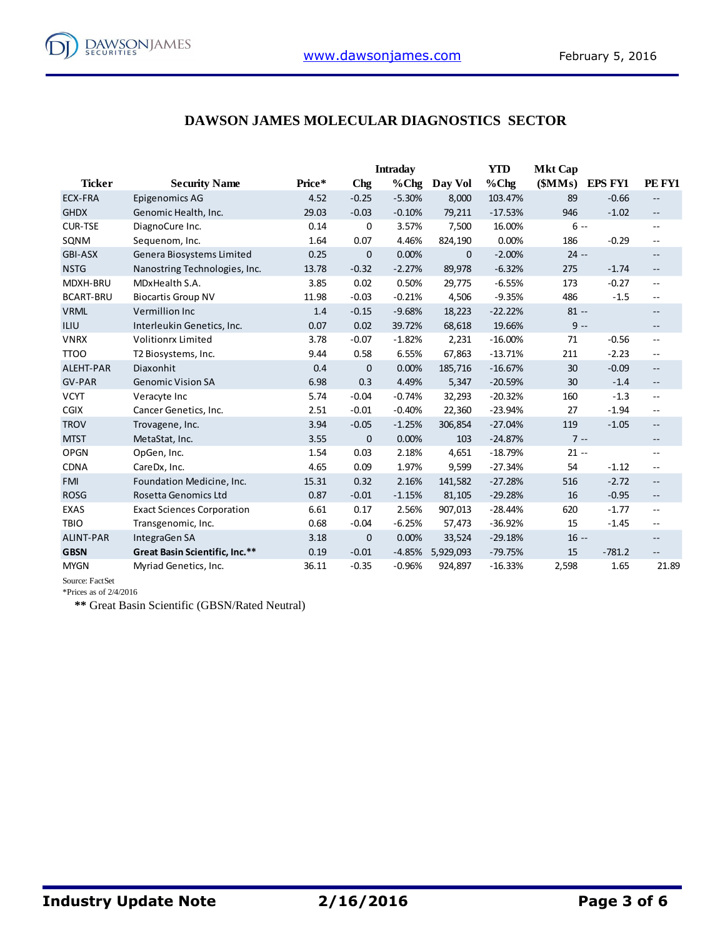### **DAWSON JAMES MOLECULAR DIAGNOSTICS SECTOR**

|                  |                                   |        |              | <b>Intraday</b> |              | <b>YTD</b> | <b>Mkt Cap</b> |                |                          |
|------------------|-----------------------------------|--------|--------------|-----------------|--------------|------------|----------------|----------------|--------------------------|
| <b>Ticker</b>    | <b>Security Name</b>              | Price* | <b>Chg</b>   | $%$ Chg         | Day Vol      | $%$ Chg    | (SMMs)         | <b>EPS FY1</b> | PE FY1                   |
| <b>ECX-FRA</b>   | Epigenomics AG                    | 4.52   | $-0.25$      | $-5.30%$        | 8,000        | 103.47%    | 89             | $-0.66$        | $-$                      |
| <b>GHDX</b>      | Genomic Health, Inc.              | 29.03  | $-0.03$      | $-0.10%$        | 79,211       | $-17.53%$  | 946            | $-1.02$        | $\overline{\phantom{m}}$ |
| <b>CUR-TSE</b>   | DiagnoCure Inc.                   | 0.14   | $\mathbf 0$  | 3.57%           | 7,500        | 16.00%     | $6 -$          |                | $\overline{\phantom{m}}$ |
| SQNM             | Sequenom, Inc.                    | 1.64   | 0.07         | 4.46%           | 824,190      | 0.00%      | 186            | $-0.29$        | $ -$                     |
| <b>GBI-ASX</b>   | Genera Biosystems Limited         | 0.25   | $\mathbf{0}$ | 0.00%           | $\mathbf{0}$ | $-2.00%$   | $24 -$         |                | $\overline{\phantom{a}}$ |
| <b>NSTG</b>      | Nanostring Technologies, Inc.     | 13.78  | $-0.32$      | $-2.27%$        | 89,978       | $-6.32%$   | 275            | $-1.74$        | $\overline{\phantom{a}}$ |
| MDXH-BRU         | MDxHealth S.A.                    | 3.85   | 0.02         | 0.50%           | 29,775       | $-6.55%$   | 173            | $-0.27$        | $\sim$ $\sim$            |
| <b>BCART-BRU</b> | <b>Biocartis Group NV</b>         | 11.98  | $-0.03$      | $-0.21%$        | 4,506        | $-9.35%$   | 486            | $-1.5$         | $\overline{\phantom{a}}$ |
| <b>VRML</b>      | Vermillion Inc                    | 1.4    | $-0.15$      | $-9.68%$        | 18,223       | $-22.22%$  | $81 -$         |                | $\overline{\phantom{m}}$ |
| <b>ILIU</b>      | Interleukin Genetics, Inc.        | 0.07   | 0.02         | 39.72%          | 68,618       | 19.66%     | $9 -$          |                | $\qquad \qquad -$        |
| <b>VNRX</b>      | <b>Volitionrx Limited</b>         | 3.78   | $-0.07$      | $-1.82%$        | 2,231        | $-16.00%$  | 71             | $-0.56$        | $- -$                    |
| <b>TTOO</b>      | T2 Biosystems, Inc.               | 9.44   | 0.58         | 6.55%           | 67,863       | $-13.71%$  | 211            | $-2.23$        | $\overline{\phantom{m}}$ |
| ALEHT-PAR        | Diaxonhit                         | 0.4    | $\mathbf 0$  | 0.00%           | 185,716      | $-16.67%$  | 30             | $-0.09$        | $\overline{\phantom{a}}$ |
| GV-PAR           | <b>Genomic Vision SA</b>          | 6.98   | 0.3          | 4.49%           | 5,347        | $-20.59%$  | 30             | $-1.4$         | $\overline{\phantom{a}}$ |
| <b>VCYT</b>      | Veracyte Inc                      | 5.74   | $-0.04$      | $-0.74%$        | 32,293       | $-20.32%$  | 160            | $-1.3$         | $- -$                    |
| <b>CGIX</b>      | Cancer Genetics, Inc.             | 2.51   | $-0.01$      | $-0.40%$        | 22,360       | $-23.94%$  | 27             | $-1.94$        | $- -$                    |
| <b>TROV</b>      | Trovagene, Inc.                   | 3.94   | $-0.05$      | $-1.25%$        | 306,854      | $-27.04%$  | 119            | $-1.05$        | $- -$                    |
| <b>MTST</b>      | MetaStat, Inc.                    | 3.55   | $\mathbf 0$  | 0.00%           | 103          | $-24.87%$  | $7 -$          |                | $\overline{\phantom{a}}$ |
| <b>OPGN</b>      | OpGen, Inc.                       | 1.54   | 0.03         | 2.18%           | 4,651        | $-18.79%$  | $21 -$         |                | $\sim$ $\sim$            |
| <b>CDNA</b>      | CareDx, Inc.                      | 4.65   | 0.09         | 1.97%           | 9,599        | $-27.34%$  | 54             | $-1.12$        | $- -$                    |
| <b>FMI</b>       | Foundation Medicine, Inc.         | 15.31  | 0.32         | 2.16%           | 141,582      | $-27.28%$  | 516            | $-2.72$        | $\overline{\phantom{m}}$ |
| <b>ROSG</b>      | Rosetta Genomics Ltd              | 0.87   | $-0.01$      | $-1.15%$        | 81,105       | $-29.28%$  | 16             | $-0.95$        | $\overline{\phantom{m}}$ |
| <b>EXAS</b>      | <b>Exact Sciences Corporation</b> | 6.61   | 0.17         | 2.56%           | 907,013      | $-28.44%$  | 620            | $-1.77$        | $-$                      |
| <b>TBIO</b>      | Transgenomic, Inc.                | 0.68   | $-0.04$      | $-6.25%$        | 57,473       | $-36.92%$  | 15             | $-1.45$        | $- -$                    |
| <b>ALINT-PAR</b> | IntegraGen SA                     | 3.18   | $\mathbf{0}$ | 0.00%           | 33,524       | $-29.18%$  | $16 -$         |                | $\overline{\phantom{m}}$ |
| <b>GBSN</b>      | Great Basin Scientific, Inc.**    | 0.19   | $-0.01$      | $-4.85%$        | 5,929,093    | $-79.75%$  | 15             | $-781.2$       | $-\,-$                   |
| <b>MYGN</b>      | Myriad Genetics, Inc.             | 36.11  | $-0.35$      | $-0.96%$        | 924,897      | $-16.33%$  | 2,598          | 1.65           | 21.89                    |

Source: FactSet

\*Prices as of 2/4/2016

**\*\*** Great Basin Scientific (GBSN/Rated Neutral)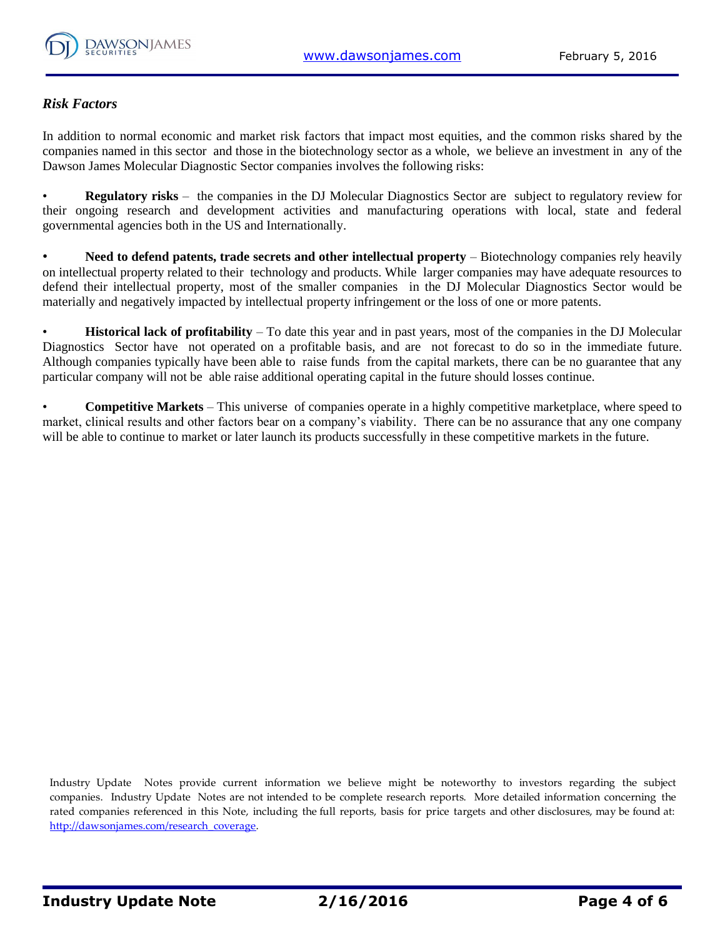

#### *Risk Factors*

In addition to normal economic and market risk factors that impact most equities, and the common risks shared by the companies named in this sector and those in the biotechnology sector as a whole, we believe an investment in any of the Dawson James Molecular Diagnostic Sector companies involves the following risks:

• **Regulatory risks** – the companies in the DJ Molecular Diagnostics Sector are subject to regulatory review for their ongoing research and development activities and manufacturing operations with local, state and federal governmental agencies both in the US and Internationally.

• **Need to defend patents, trade secrets and other intellectual property** – Biotechnology companies rely heavily on intellectual property related to their technology and products. While larger companies may have adequate resources to defend their intellectual property, most of the smaller companies in the DJ Molecular Diagnostics Sector would be materially and negatively impacted by intellectual property infringement or the loss of one or more patents.

• **Historical lack of profitability** – To date this year and in past years, most of the companies in the DJ Molecular Diagnostics Sector have not operated on a profitable basis, and are not forecast to do so in the immediate future. Although companies typically have been able to raise funds from the capital markets, there can be no guarantee that any particular company will not be able raise additional operating capital in the future should losses continue.

• **Competitive Markets** – This universe of companies operate in a highly competitive marketplace, where speed to market, clinical results and other factors bear on a company's viability. There can be no assurance that any one company will be able to continue to market or later launch its products successfully in these competitive markets in the future.

Industry Update Notes provide current information we believe might be noteworthy to investors regarding the subject companies. Industry Update Notes are not intended to be complete research reports. More detailed information concerning the rated companies referenced in this Note, including the full reports, basis for price targets and other disclosures, may be found at: [http://dawsonjames.com/research\\_coverage.](http://dawsonjames.com/research_coverage)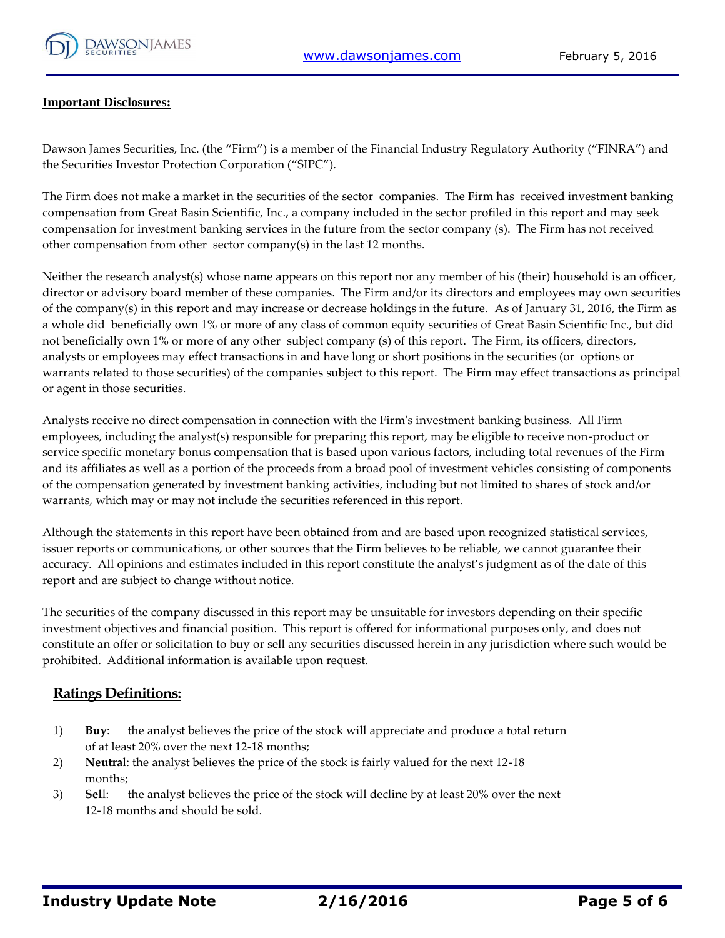

#### **Important Disclosures:**

Dawson James Securities, Inc. (the "Firm") is a member of the Financial Industry Regulatory Authority ("FINRA") and the Securities Investor Protection Corporation ("SIPC").

The Firm does not make a market in the securities of the sector companies. The Firm has received investment banking compensation from Great Basin Scientific, Inc., a company included in the sector profiled in this report and may seek compensation for investment banking services in the future from the sector company (s). The Firm has not received other compensation from other sector company(s) in the last 12 months.

Neither the research analyst(s) whose name appears on this report nor any member of his (their) household is an officer, director or advisory board member of these companies. The Firm and/or its directors and employees may own securities of the company(s) in this report and may increase or decrease holdings in the future. As of January 31, 2016, the Firm as a whole did beneficially own 1% or more of any class of common equity securities of Great Basin Scientific Inc., but did not beneficially own 1% or more of any other subject company (s) of this report. The Firm, its officers, directors, analysts or employees may effect transactions in and have long or short positions in the securities (or options or warrants related to those securities) of the companies subject to this report. The Firm may effect transactions as principal or agent in those securities.

Analysts receive no direct compensation in connection with the Firm's investment banking business. All Firm employees, including the analyst(s) responsible for preparing this report, may be eligible to receive non-product or service specific monetary bonus compensation that is based upon various factors, including total revenues of the Firm and its affiliates as well as a portion of the proceeds from a broad pool of investment vehicles consisting of components of the compensation generated by investment banking activities, including but not limited to shares of stock and/or warrants, which may or may not include the securities referenced in this report.

Although the statements in this report have been obtained from and are based upon recognized statistical services, issuer reports or communications, or other sources that the Firm believes to be reliable, we cannot guarantee their accuracy. All opinions and estimates included in this report constitute the analyst's judgment as of the date of this report and are subject to change without notice.

The securities of the company discussed in this report may be unsuitable for investors depending on their specific investment objectives and financial position. This report is offered for informational purposes only, and does not constitute an offer or solicitation to buy or sell any securities discussed herein in any jurisdiction where such would be prohibited. Additional information is available upon request.

#### **Ratings Definitions:**

- 1) **Buy**: the analyst believes the price of the stock will appreciate and produce a total return of at least 20% over the next 12-18 months;
- 2) **Neutra**l: the analyst believes the price of the stock is fairly valued for the next 12-18 months;
- 3) **Sel**l: the analyst believes the price of the stock will decline by at least 20% over the next 12-18 months and should be sold.